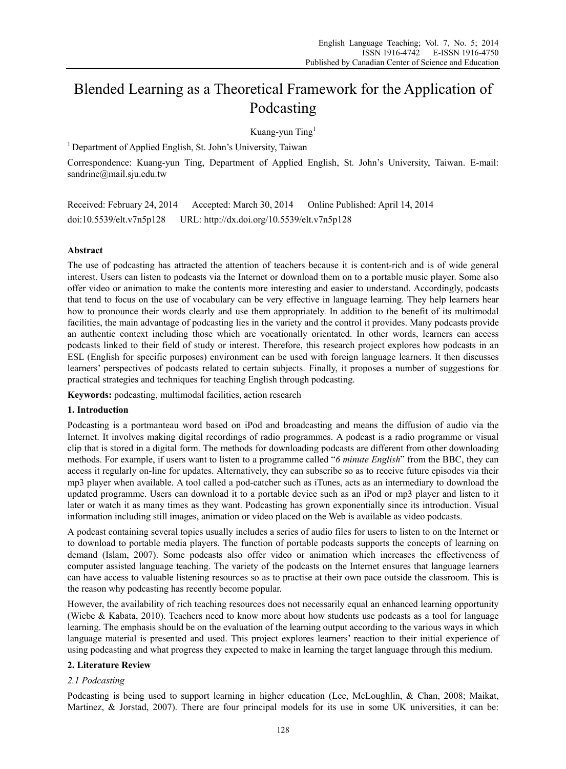# Blended Learning as a Theoretical Framework for the Application of Podcasting

Kuang-yun Ting<sup>1</sup>

1 Department of Applied English, St. John's University, Taiwan

Correspondence: Kuang-yun Ting, Department of Applied English, St. John's University, Taiwan. E-mail: sandrine@mail.sju.edu.tw

Received: February 24, 2014 Accepted: March 30, 2014 Online Published: April 14, 2014 doi:10.5539/elt.v7n5p128 URL: http://dx.doi.org/10.5539/elt.v7n5p128

# **Abstract**

The use of podcasting has attracted the attention of teachers because it is content-rich and is of wide general interest. Users can listen to podcasts via the Internet or download them on to a portable music player. Some also offer video or animation to make the contents more interesting and easier to understand. Accordingly, podcasts that tend to focus on the use of vocabulary can be very effective in language learning. They help learners hear how to pronounce their words clearly and use them appropriately. In addition to the benefit of its multimodal facilities, the main advantage of podcasting lies in the variety and the control it provides. Many podcasts provide an authentic context including those which are vocationally orientated. In other words, learners can access podcasts linked to their field of study or interest. Therefore, this research project explores how podcasts in an ESL (English for specific purposes) environment can be used with foreign language learners. It then discusses learners' perspectives of podcasts related to certain subjects. Finally, it proposes a number of suggestions for practical strategies and techniques for teaching English through podcasting.

**Keywords:** podcasting, multimodal facilities, action research

# **1. Introduction**

Podcasting is a portmanteau word based on iPod and broadcasting and means the diffusion of audio via the Internet. It involves making digital recordings of radio programmes. A podcast is a radio programme or visual clip that is stored in a digital form. The methods for downloading podcasts are different from other downloading methods. For example, if users want to listen to a programme called "*6 minute English*" from the BBC, they can access it regularly on-line for updates. Alternatively, they can subscribe so as to receive future episodes via their mp3 player when available. A tool called a pod-catcher such as iTunes, acts as an intermediary to download the updated programme. Users can download it to a portable device such as an iPod or mp3 player and listen to it later or watch it as many times as they want. Podcasting has grown exponentially since its introduction. Visual information including still images, animation or video placed on the Web is available as video podcasts.

A podcast containing several topics usually includes a series of audio files for users to listen to on the Internet or to download to portable media players. The function of portable podcasts supports the concepts of learning on demand (Islam, 2007). Some podcasts also offer video or animation which increases the effectiveness of computer assisted language teaching. The variety of the podcasts on the Internet ensures that language learners can have access to valuable listening resources so as to practise at their own pace outside the classroom. This is the reason why podcasting has recently become popular.

However, the availability of rich teaching resources does not necessarily equal an enhanced learning opportunity (Wiebe & Kabata, 2010). Teachers need to know more about how students use podcasts as a tool for language learning. The emphasis should be on the evaluation of the learning output according to the various ways in which language material is presented and used. This project explores learners' reaction to their initial experience of using podcasting and what progress they expected to make in learning the target language through this medium.

# **2. Literature Review**

# *2.1 Podcasting*

Podcasting is being used to support learning in higher education (Lee, McLoughlin, & Chan, 2008; Maikat, Martinez, & Jorstad, 2007). There are four principal models for its use in some UK universities, it can be: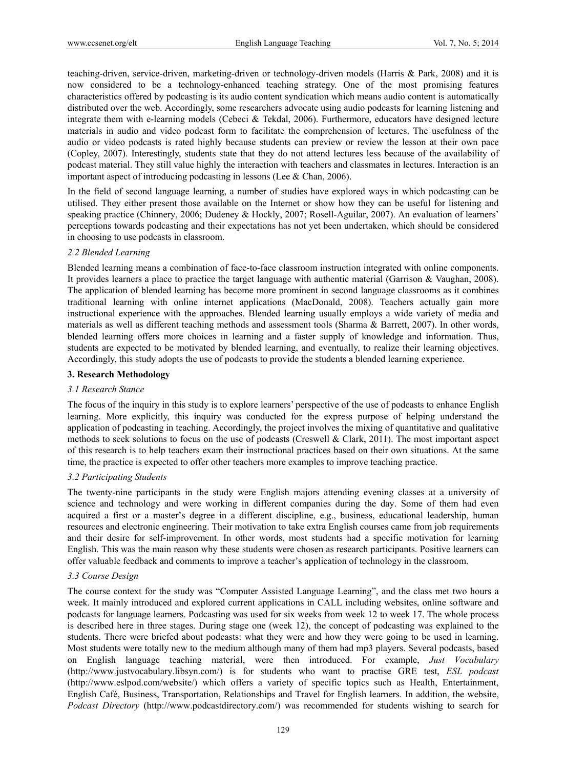teaching-driven, service-driven, marketing-driven or technology-driven models (Harris & Park, 2008) and it is now considered to be a technology-enhanced teaching strategy. One of the most promising features characteristics offered by podcasting is its audio content syndication which means audio content is automatically distributed over the web. Accordingly, some researchers advocate using audio podcasts for learning listening and integrate them with e-learning models (Cebeci & Tekdal, 2006). Furthermore, educators have designed lecture materials in audio and video podcast form to facilitate the comprehension of lectures. The usefulness of the audio or video podcasts is rated highly because students can preview or review the lesson at their own pace (Copley, 2007). Interestingly, students state that they do not attend lectures less because of the availability of podcast material. They still value highly the interaction with teachers and classmates in lectures. Interaction is an important aspect of introducing podcasting in lessons (Lee & Chan, 2006).

In the field of second language learning, a number of studies have explored ways in which podcasting can be utilised. They either present those available on the Internet or show how they can be useful for listening and speaking practice (Chinnery, 2006; Dudeney & Hockly, 2007; Rosell-Aguilar, 2007). An evaluation of learners' perceptions towards podcasting and their expectations has not yet been undertaken, which should be considered in choosing to use podcasts in classroom.

# *2.2 Blended Learning*

Blended learning means a combination of face-to-face classroom instruction integrated with online components. It provides learners a place to practice the target language with authentic material (Garrison & Vaughan, 2008). The application of blended learning has become more prominent in second language classrooms as it combines traditional learning with online internet applications (MacDonald, 2008). Teachers actually gain more instructional experience with the approaches. Blended learning usually employs a wide variety of media and materials as well as different teaching methods and assessment tools (Sharma & Barrett, 2007). In other words, blended learning offers more choices in learning and a faster supply of knowledge and information. Thus, students are expected to be motivated by blended learning, and eventually, to realize their learning objectives. Accordingly, this study adopts the use of podcasts to provide the students a blended learning experience.

#### **3. Research Methodology**

#### *3.1 Research Stance*

The focus of the inquiry in this study is to explore learners' perspective of the use of podcasts to enhance English learning. More explicitly, this inquiry was conducted for the express purpose of helping understand the application of podcasting in teaching. Accordingly, the project involves the mixing of quantitative and qualitative methods to seek solutions to focus on the use of podcasts (Creswell & Clark, 2011). The most important aspect of this research is to help teachers exam their instructional practices based on their own situations. At the same time, the practice is expected to offer other teachers more examples to improve teaching practice.

# *3.2 Participating Students*

The twenty-nine participants in the study were English majors attending evening classes at a university of science and technology and were working in different companies during the day. Some of them had even acquired a first or a master's degree in a different discipline, e.g., business, educational leadership, human resources and electronic engineering. Their motivation to take extra English courses came from job requirements and their desire for self-improvement. In other words, most students had a specific motivation for learning English. This was the main reason why these students were chosen as research participants. Positive learners can offer valuable feedback and comments to improve a teacher's application of technology in the classroom.

# *3.3 Course Design*

The course context for the study was "Computer Assisted Language Learning", and the class met two hours a week. It mainly introduced and explored current applications in CALL including websites, online software and podcasts for language learners. Podcasting was used for six weeks from week 12 to week 17. The whole process is described here in three stages. During stage one (week 12), the concept of podcasting was explained to the students. There were briefed about podcasts: what they were and how they were going to be used in learning. Most students were totally new to the medium although many of them had mp3 players. Several podcasts, based on English language teaching material, were then introduced. For example, *Just Vocabulary* (http://www.justvocabulary.libsyn.com/) is for students who want to practise GRE test, *ESL podcast* (http://www.eslpod.com/website/) which offers a variety of specific topics such as Health, Entertainment, English Café, Business, Transportation, Relationships and Travel for English learners. In addition, the website, *Podcast Directory* (http://www.podcastdirectory.com/) was recommended for students wishing to search for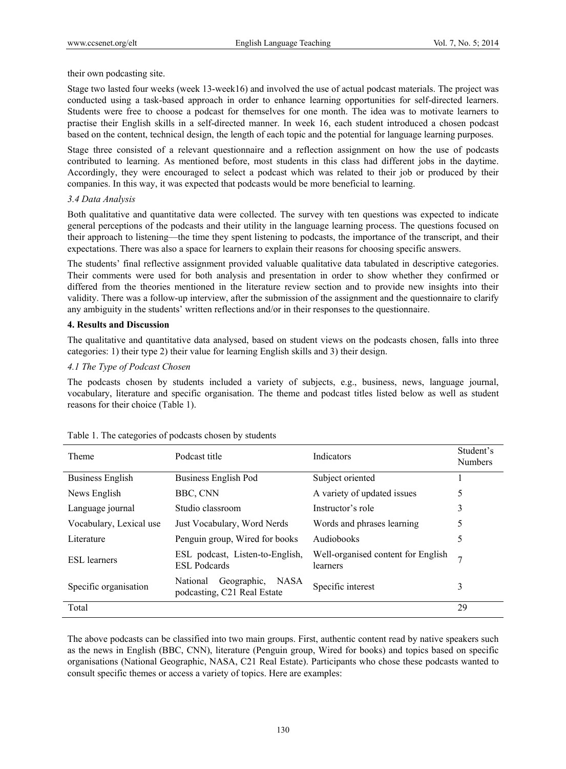their own podcasting site.

Stage two lasted four weeks (week 13-week16) and involved the use of actual podcast materials. The project was conducted using a task-based approach in order to enhance learning opportunities for self-directed learners. Students were free to choose a podcast for themselves for one month. The idea was to motivate learners to practise their English skills in a self-directed manner. In week 16, each student introduced a chosen podcast based on the content, technical design, the length of each topic and the potential for language learning purposes.

Stage three consisted of a relevant questionnaire and a reflection assignment on how the use of podcasts contributed to learning. As mentioned before, most students in this class had different jobs in the daytime. Accordingly, they were encouraged to select a podcast which was related to their job or produced by their companies. In this way, it was expected that podcasts would be more beneficial to learning.

# *3.4 Data Analysis*

Both qualitative and quantitative data were collected. The survey with ten questions was expected to indicate general perceptions of the podcasts and their utility in the language learning process. The questions focused on their approach to listening—the time they spent listening to podcasts, the importance of the transcript, and their expectations. There was also a space for learners to explain their reasons for choosing specific answers.

The students' final reflective assignment provided valuable qualitative data tabulated in descriptive categories. Their comments were used for both analysis and presentation in order to show whether they confirmed or differed from the theories mentioned in the literature review section and to provide new insights into their validity. There was a follow-up interview, after the submission of the assignment and the questionnaire to clarify any ambiguity in the students' written reflections and/or in their responses to the questionnaire.

# **4. Results and Discussion**

The qualitative and quantitative data analysed, based on student views on the podcasts chosen, falls into three categories: 1) their type 2) their value for learning English skills and 3) their design.

### *4.1 The Type of Podcast Chosen*

The podcasts chosen by students included a variety of subjects, e.g., business, news, language journal, vocabulary, literature and specific organisation. The theme and podcast titles listed below as well as student reasons for their choice (Table 1).

| <b>Theme</b>            | Podcast title                                                         | Indicators                                     | Student's<br><b>Numbers</b> |
|-------------------------|-----------------------------------------------------------------------|------------------------------------------------|-----------------------------|
| <b>Business English</b> | <b>Business English Pod</b>                                           | Subject oriented                               |                             |
| News English            | BBC, CNN                                                              | A variety of updated issues                    | 5                           |
| Language journal        | Studio classroom                                                      | Instructor's role                              | 3                           |
| Vocabulary, Lexical use | Just Vocabulary, Word Nerds                                           | Words and phrases learning                     | 5                           |
| Literature              | Penguin group, Wired for books                                        | Audiobooks                                     | 5                           |
| ESL learners            | ESL podcast, Listen-to-English,<br>ESL Podcards                       | Well-organised content for English<br>learners | $\mathbf{7}$                |
| Specific organisation   | Geographic,<br><b>NASA</b><br>National<br>podcasting, C21 Real Estate | Specific interest                              | 3                           |
| Total                   |                                                                       |                                                | 29                          |

The above podcasts can be classified into two main groups. First, authentic content read by native speakers such as the news in English (BBC, CNN), literature (Penguin group, Wired for books) and topics based on specific organisations (National Geographic, NASA, C21 Real Estate). Participants who chose these podcasts wanted to consult specific themes or access a variety of topics. Here are examples: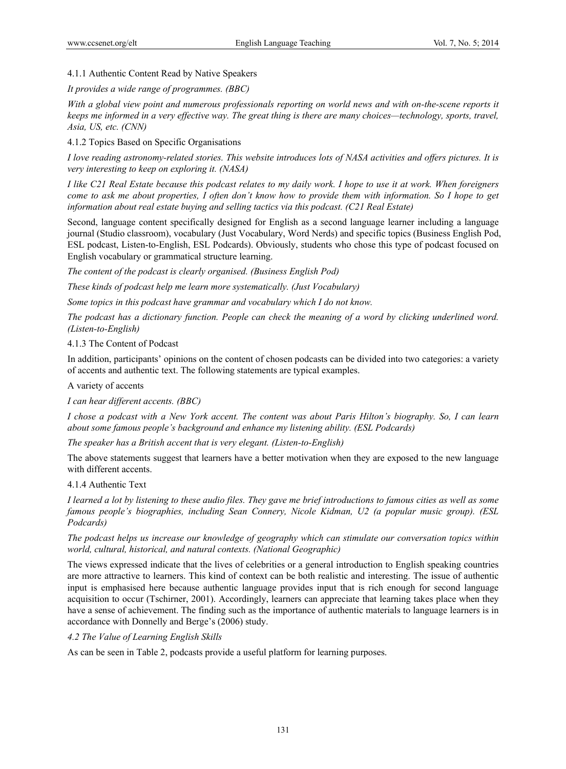# 4.1.1 Authentic Content Read by Native Speakers

*It provides a wide range of programmes. (BBC)* 

*With a global view point and numerous professionals reporting on world news and with on-the-scene reports it keeps me informed in a very effective way. The great thing is there are many choices—technology, sports, travel, Asia, US, etc. (CNN)* 

4.1.2 Topics Based on Specific Organisations

*I love reading astronomy-related stories. This website introduces lots of NASA activities and offers pictures. It is very interesting to keep on exploring it. (NASA)* 

*I like C21 Real Estate because this podcast relates to my daily work. I hope to use it at work. When foreigners come to ask me about properties, I often don't know how to provide them with information. So I hope to get information about real estate buying and selling tactics via this podcast. (C21 Real Estate)* 

Second, language content specifically designed for English as a second language learner including a language journal (Studio classroom), vocabulary (Just Vocabulary, Word Nerds) and specific topics (Business English Pod, ESL podcast, Listen-to-English, ESL Podcards). Obviously, students who chose this type of podcast focused on English vocabulary or grammatical structure learning.

*The content of the podcast is clearly organised. (Business English Pod)* 

*These kinds of podcast help me learn more systematically. (Just Vocabulary)* 

*Some topics in this podcast have grammar and vocabulary which I do not know.* 

*The podcast has a dictionary function. People can check the meaning of a word by clicking underlined word. (Listen-to-English)* 

4.1.3 The Content of Podcast

In addition, participants' opinions on the content of chosen podcasts can be divided into two categories: a variety of accents and authentic text. The following statements are typical examples.

A variety of accents

*I can hear different accents. (BBC)*

*I chose a podcast with a New York accent. The content was about Paris Hilton's biography. So, I can learn about some famous people's background and enhance my listening ability. (ESL Podcards)* 

*The speaker has a British accent that is very elegant. (Listen-to-English)* 

The above statements suggest that learners have a better motivation when they are exposed to the new language with different accents.

4.1.4 Authentic Text

*I learned a lot by listening to these audio files. They gave me brief introductions to famous cities as well as some famous people's biographies, including Sean Connery, Nicole Kidman, U2 (a popular music group). (ESL Podcards)* 

*The podcast helps us increase our knowledge of geography which can stimulate our conversation topics within world, cultural, historical, and natural contexts. (National Geographic)* 

The views expressed indicate that the lives of celebrities or a general introduction to English speaking countries are more attractive to learners. This kind of context can be both realistic and interesting. The issue of authentic input is emphasised here because authentic language provides input that is rich enough for second language acquisition to occur (Tschirner, 2001). Accordingly, learners can appreciate that learning takes place when they have a sense of achievement. The finding such as the importance of authentic materials to language learners is in accordance with Donnelly and Berge's (2006) study.

*4.2 The Value of Learning English Skills* 

As can be seen in Table 2, podcasts provide a useful platform for learning purposes.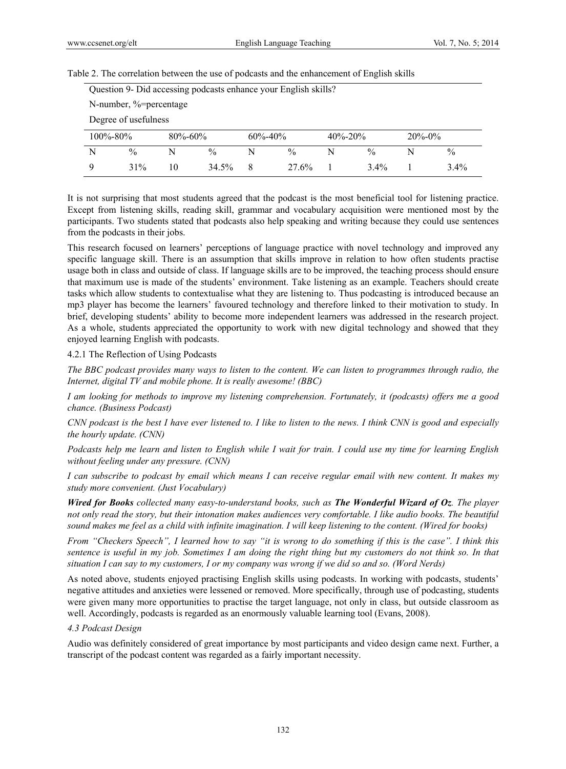|                |                            |    |               |   | Question 9- Did accessing podcasts enhance your English skills? |   |               |   |              |  |
|----------------|----------------------------|----|---------------|---|-----------------------------------------------------------------|---|---------------|---|--------------|--|
|                | N-number, $\%$ =percentage |    |               |   |                                                                 |   |               |   |              |  |
|                | Degree of usefulness       |    |               |   |                                                                 |   |               |   |              |  |
| $100\% - 80\%$ |                            |    | $80\% - 60\%$ |   | $60\% - 40\%$                                                   |   | $40\% - 20\%$ |   | $20\% - 0\%$ |  |
| N              | $\frac{0}{0}$              | N  | $\%$          | N | $\frac{0}{0}$                                                   | N | $\frac{0}{0}$ | N | $\%$         |  |
|                | 31%                        | 10 | $34.5\%$      | 8 | 27.6 <sup>%</sup>                                               |   | $3.4\%$       |   | $3.4\%$      |  |

Table 2. The correlation between the use of podcasts and the enhancement of English skills

It is not surprising that most students agreed that the podcast is the most beneficial tool for listening practice. Except from listening skills, reading skill, grammar and vocabulary acquisition were mentioned most by the participants. Two students stated that podcasts also help speaking and writing because they could use sentences from the podcasts in their jobs.

This research focused on learners' perceptions of language practice with novel technology and improved any specific language skill. There is an assumption that skills improve in relation to how often students practise usage both in class and outside of class. If language skills are to be improved, the teaching process should ensure that maximum use is made of the students' environment. Take listening as an example. Teachers should create tasks which allow students to contextualise what they are listening to. Thus podcasting is introduced because an mp3 player has become the learners' favoured technology and therefore linked to their motivation to study. In brief, developing students' ability to become more independent learners was addressed in the research project. As a whole, students appreciated the opportunity to work with new digital technology and showed that they enjoyed learning English with podcasts.

#### 4.2.1 The Reflection of Using Podcasts

*The BBC podcast provides many ways to listen to the content. We can listen to programmes through radio, the Internet, digital TV and mobile phone. It is really awesome! (BBC)* 

*I am looking for methods to improve my listening comprehension. Fortunately, it (podcasts) offers me a good chance. (Business Podcast)* 

*CNN podcast is the best I have ever listened to. I like to listen to the news. I think CNN is good and especially the hourly update. (CNN)* 

*Podcasts help me learn and listen to English while I wait for train. I could use my time for learning English without feeling under any pressure. (CNN)* 

*I can subscribe to podcast by email which means I can receive regular email with new content. It makes my study more convenient. (Just Vocabulary)* 

*Wired for Books collected many easy-to-understand books, such as The Wonderful Wizard of Oz. The player not only read the story, but their intonation makes audiences very comfortable. I like audio books. The beautiful sound makes me feel as a child with infinite imagination. I will keep listening to the content. (Wired for books)* 

*From "Checkers Speech", I learned how to say "it is wrong to do something if this is the case". I think this sentence is useful in my job. Sometimes I am doing the right thing but my customers do not think so. In that situation I can say to my customers, I or my company was wrong if we did so and so. (Word Nerds)* 

As noted above, students enjoyed practising English skills using podcasts. In working with podcasts, students' negative attitudes and anxieties were lessened or removed. More specifically, through use of podcasting, students were given many more opportunities to practise the target language, not only in class, but outside classroom as well. Accordingly, podcasts is regarded as an enormously valuable learning tool (Evans, 2008).

# *4.3 Podcast Design*

Audio was definitely considered of great importance by most participants and video design came next. Further, a transcript of the podcast content was regarded as a fairly important necessity.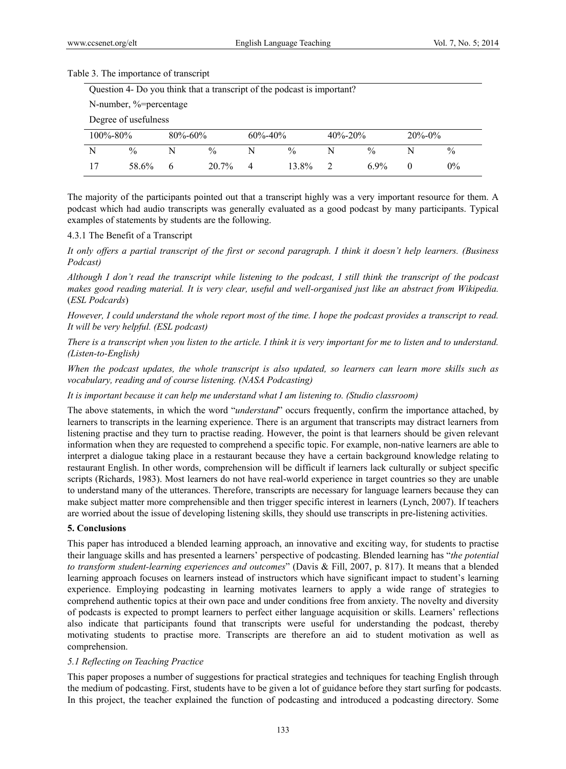#### Table 3. The importance of transcript

|                |                            |               |               |                | Question 4- Do you think that a transcript of the podcast is important? |               |               |              |       |
|----------------|----------------------------|---------------|---------------|----------------|-------------------------------------------------------------------------|---------------|---------------|--------------|-------|
|                | N-number, $\%$ =percentage |               |               |                |                                                                         |               |               |              |       |
|                | Degree of usefulness       |               |               |                |                                                                         |               |               |              |       |
| $100\% - 80\%$ |                            | $80\% - 60\%$ |               | $60\% - 40\%$  |                                                                         | $40\% - 20\%$ |               | $20\% - 0\%$ |       |
| N              | $\frac{0}{0}$              | N             | $\frac{0}{0}$ | N              | $\frac{0}{0}$                                                           | N             | $\frac{0}{0}$ | N            | $\%$  |
| 17             | 58.6%                      | 6             | $20.7\%$      | $\overline{4}$ | 13.8%                                                                   |               | 69%           | $\Omega$     | $0\%$ |

The majority of the participants pointed out that a transcript highly was a very important resource for them. A podcast which had audio transcripts was generally evaluated as a good podcast by many participants. Typical examples of statements by students are the following.

#### 4.3.1 The Benefit of a Transcript

*It only offers a partial transcript of the first or second paragraph. I think it doesn't help learners. (Business Podcast)* 

*Although I don't read the transcript while listening to the podcast, I still think the transcript of the podcast makes good reading material. It is very clear, useful and well-organised just like an abstract from Wikipedia.*  (*ESL Podcards*)

*However, I could understand the whole report most of the time. I hope the podcast provides a transcript to read. It will be very helpful. (ESL podcast)* 

*There is a transcript when you listen to the article. I think it is very important for me to listen and to understand. (Listen-to-English)* 

*When the podcast updates, the whole transcript is also updated, so learners can learn more skills such as vocabulary, reading and of course listening. (NASA Podcasting)* 

*It is important because it can help me understand what I am listening to. (Studio classroom)* 

The above statements, in which the word "*understand*" occurs frequently, confirm the importance attached, by learners to transcripts in the learning experience. There is an argument that transcripts may distract learners from listening practise and they turn to practise reading. However, the point is that learners should be given relevant information when they are requested to comprehend a specific topic. For example, non-native learners are able to interpret a dialogue taking place in a restaurant because they have a certain background knowledge relating to restaurant English. In other words, comprehension will be difficult if learners lack culturally or subject specific scripts (Richards, 1983). Most learners do not have real-world experience in target countries so they are unable to understand many of the utterances. Therefore, transcripts are necessary for language learners because they can make subject matter more comprehensible and then trigger specific interest in learners (Lynch, 2007). If teachers are worried about the issue of developing listening skills, they should use transcripts in pre-listening activities.

### **5. Conclusions**

This paper has introduced a blended learning approach, an innovative and exciting way, for students to practise their language skills and has presented a learners' perspective of podcasting. Blended learning has "*the potential to transform student-learning experiences and outcomes*" (Davis & Fill, 2007, p. 817). It means that a blended learning approach focuses on learners instead of instructors which have significant impact to student's learning experience. Employing podcasting in learning motivates learners to apply a wide range of strategies to comprehend authentic topics at their own pace and under conditions free from anxiety. The novelty and diversity of podcasts is expected to prompt learners to perfect either language acquisition or skills. Learners' reflections also indicate that participants found that transcripts were useful for understanding the podcast, thereby motivating students to practise more. Transcripts are therefore an aid to student motivation as well as comprehension.

#### *5.1 Reflecting on Teaching Practice*

This paper proposes a number of suggestions for practical strategies and techniques for teaching English through the medium of podcasting. First, students have to be given a lot of guidance before they start surfing for podcasts. In this project, the teacher explained the function of podcasting and introduced a podcasting directory. Some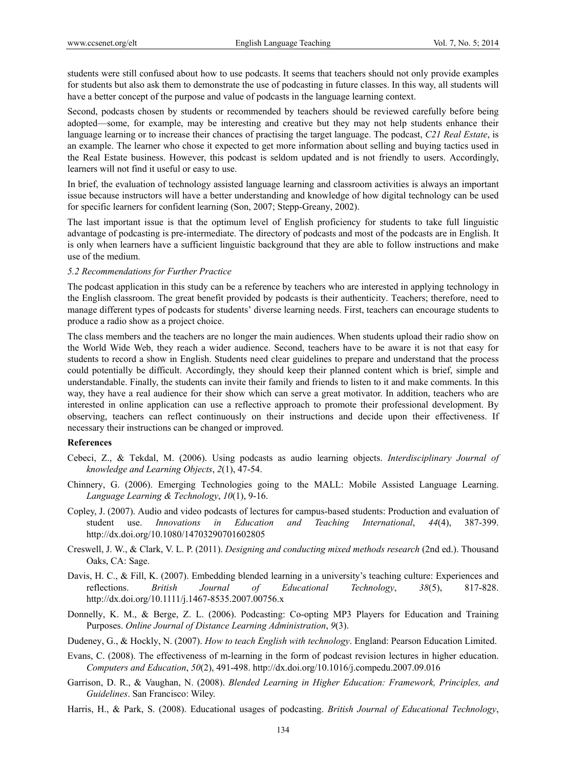students were still confused about how to use podcasts. It seems that teachers should not only provide examples for students but also ask them to demonstrate the use of podcasting in future classes. In this way, all students will have a better concept of the purpose and value of podcasts in the language learning context.

Second, podcasts chosen by students or recommended by teachers should be reviewed carefully before being adopted—some, for example, may be interesting and creative but they may not help students enhance their language learning or to increase their chances of practising the target language. The podcast, *C21 Real Estate*, is an example. The learner who chose it expected to get more information about selling and buying tactics used in the Real Estate business. However, this podcast is seldom updated and is not friendly to users. Accordingly, learners will not find it useful or easy to use.

In brief, the evaluation of technology assisted language learning and classroom activities is always an important issue because instructors will have a better understanding and knowledge of how digital technology can be used for specific learners for confident learning (Son, 2007; Stepp-Greany, 2002).

The last important issue is that the optimum level of English proficiency for students to take full linguistic advantage of podcasting is pre-intermediate. The directory of podcasts and most of the podcasts are in English. It is only when learners have a sufficient linguistic background that they are able to follow instructions and make use of the medium.

#### *5.2 Recommendations for Further Practice*

The podcast application in this study can be a reference by teachers who are interested in applying technology in the English classroom. The great benefit provided by podcasts is their authenticity. Teachers; therefore, need to manage different types of podcasts for students' diverse learning needs. First, teachers can encourage students to produce a radio show as a project choice.

The class members and the teachers are no longer the main audiences. When students upload their radio show on the World Wide Web, they reach a wider audience. Second, teachers have to be aware it is not that easy for students to record a show in English. Students need clear guidelines to prepare and understand that the process could potentially be difficult. Accordingly, they should keep their planned content which is brief, simple and understandable. Finally, the students can invite their family and friends to listen to it and make comments. In this way, they have a real audience for their show which can serve a great motivator. In addition, teachers who are interested in online application can use a reflective approach to promote their professional development. By observing, teachers can reflect continuously on their instructions and decide upon their effectiveness. If necessary their instructions can be changed or improved.

#### **References**

- Cebeci, Z., & Tekdal, M. (2006). Using podcasts as audio learning objects. *Interdisciplinary Journal of knowledge and Learning Objects*, *2*(1), 47-54.
- Chinnery, G. (2006). Emerging Technologies going to the MALL: Mobile Assisted Language Learning. *Language Learning & Technology*, *10*(1), 9-16.
- Copley, J. (2007). Audio and video podcasts of lectures for campus-based students: Production and evaluation of student use. *Innovations in Education and Teaching International*, *44*(4), 387-399. http://dx.doi.org/10.1080/14703290701602805
- Creswell, J. W., & Clark, V. L. P. (2011). *Designing and conducting mixed methods research* (2nd ed.). Thousand Oaks, CA: Sage.
- Davis, H. C., & Fill, K. (2007). Embedding blended learning in a university's teaching culture: Experiences and reflections. *British Journal of Educational Technology*, *38*(5), 817-828. http://dx.doi.org/10.1111/j.1467-8535.2007.00756.x
- Donnelly, K. M., & Berge, Z. L. (2006). Podcasting: Co-opting MP3 Players for Education and Training Purposes. *Online Journal of Distance Learning Administration*, *9*(3).
- Dudeney, G., & Hockly, N. (2007). *How to teach English with technology*. England: Pearson Education Limited.
- Evans, C. (2008). The effectiveness of m-learning in the form of podcast revision lectures in higher education. *Computers and Education*, *50*(2), 491-498. http://dx.doi.org/10.1016/j.compedu.2007.09.016
- Garrison, D. R., & Vaughan, N. (2008). *Blended Learning in Higher Education: Framework, Principles, and Guidelines*. San Francisco: Wiley.
- Harris, H., & Park, S. (2008). Educational usages of podcasting. *British Journal of Educational Technology*,